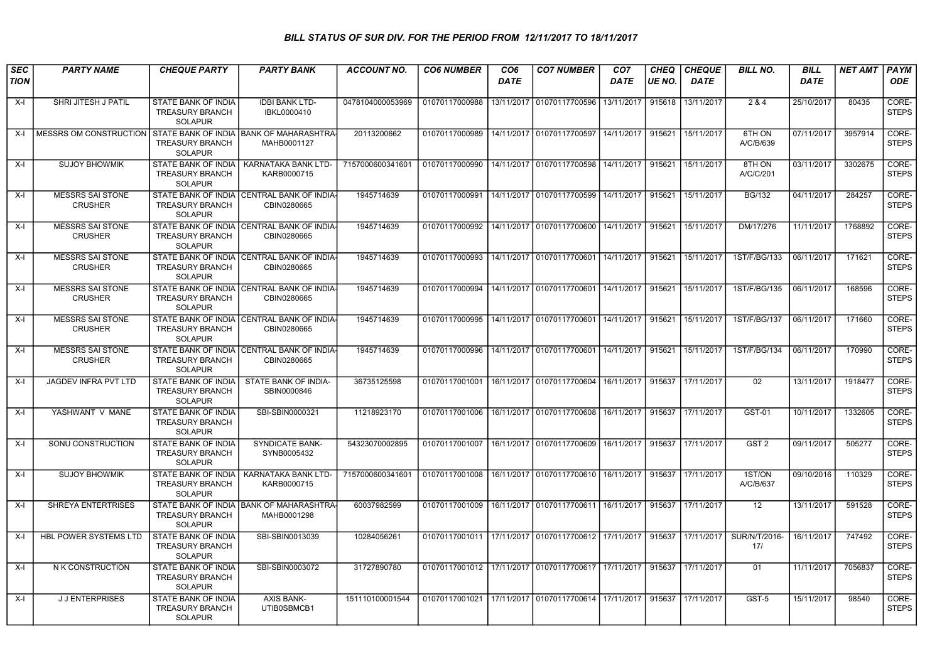## BILL STATUS OF SUR DIV. FOR THE PERIOD FROM 12/11/2017 TO 18/11/2017

| SEC         | <b>PARTY NAME</b>                         | <b>CHEQUE PARTY</b>                                                    | <b>PARTY BANK</b>                                         | <b>ACCOUNT NO.</b> | <b>CO6 NUMBER</b> | CO <sub>6</sub> | <b>CO7 NUMBER</b>                                                     | CO <sub>7</sub> | <b>CHEQ</b> | <b>CHEQUE</b> | <b>BILL NO.</b>      | <b>BILL</b> | <b>NET AMT</b> | PAYM                  |
|-------------|-------------------------------------------|------------------------------------------------------------------------|-----------------------------------------------------------|--------------------|-------------------|-----------------|-----------------------------------------------------------------------|-----------------|-------------|---------------|----------------------|-------------|----------------|-----------------------|
| <b>TION</b> |                                           |                                                                        |                                                           |                    |                   | <b>DATE</b>     |                                                                       | <b>DATE</b>     | IUE NO.     | <b>DATE</b>   |                      | <b>DATE</b> |                | <b>ODE</b>            |
| $X-I$       | SHRI JITESH J PATIL                       | STATE BANK OF INDIA<br><b>TREASURY BRANCH</b><br><b>SOLAPUR</b>        | <b>IDBI BANK LTD-</b><br>IBKL0000410                      | 0478104000053969   | 01070117000988    | 13/11/2017      | 01070117700596                                                        | 13/11/2017      | 915618      | 13/11/2017    | 2 & 4                | 25/10/2017  | 80435          | CORE-<br><b>STEPS</b> |
| X-I         | MESSRS OM CONSTRUCTION                    | <b>TREASURY BRANCH</b><br><b>SOLAPUR</b>                               | I STATE BANK OF INDIA IBANK OF MAHARASHTRA<br>MAHB0001127 | 20113200662        | 01070117000989    |                 | 14/11/2017   01070117700597   14/11/2017   915621                     |                 |             | 15/11/2017    | 6TH ON<br>A/C/B/639  | 07/11/2017  | 3957914        | CORE-<br><b>STEPS</b> |
| X-I         | <b>SUJOY BHOWMIK</b>                      | <b>STATE BANK OF INDIA</b><br><b>TREASURY BRANCH</b><br><b>SOLAPUR</b> | KARNATAKA BANK LTD-<br>KARB0000715                        | 7157000600341601   | 01070117000990    |                 | 14/11/2017 01070117700598 14/11/2017 915621                           |                 |             | 15/11/2017    | 8TH ON<br>A/C/C/201  | 03/11/2017  | 3302675        | CORE-<br><b>STEPS</b> |
| $X-I$       | <b>MESSRS SAI STONE</b><br><b>CRUSHER</b> | <b>TREASURY BRANCH</b><br><b>SOLAPUR</b>                               | STATE BANK OF INDIA CENTRAL BANK OF INDIA<br>CBIN0280665  | 1945714639         |                   |                 | 01070117000991   14/11/2017   01070117700599   14/11/2017   915621    |                 |             | 15/11/2017    | <b>BG/132</b>        | 04/11/2017  | 284257         | CORE-<br><b>STEPS</b> |
| $X-I$       | <b>MESSRS SAI STONE</b><br><b>CRUSHER</b> | <b>TREASURY BRANCH</b><br><b>SOLAPUR</b>                               | STATE BANK OF INDIA CENTRAL BANK OF INDIA<br>CBIN0280665  | 1945714639         |                   |                 | 01070117000992 14/11/2017 01070117700600 14/11/2017 915621            |                 |             | 15/11/2017    | DM/17/276            | 11/11/2017  | 1768892        | CORE-<br><b>STEPS</b> |
| X-I         | <b>MESSRS SAI STONE</b><br><b>CRUSHER</b> | <b>TREASURY BRANCH</b><br><b>SOLAPUR</b>                               | STATE BANK OF INDIA CENTRAL BANK OF INDIA<br>CBIN0280665  | 1945714639         |                   |                 | 01070117000993 144/11/2017 01070117700601 14/11/2017 915621           |                 |             | 15/11/2017    | 1ST/F/BG/133         | 06/11/2017  | 171621         | CORE-<br><b>STEPS</b> |
| X-I         | <b>MESSRS SAI STONE</b><br><b>CRUSHER</b> | <b>TREASURY BRANCH</b><br><b>SOLAPUR</b>                               | STATE BANK OF INDIA CENTRAL BANK OF INDIA<br>CBIN0280665  | 1945714639         |                   |                 | 01070117000994 14/11/2017 01070117700601 14/11/2017 915621            |                 |             | 15/11/2017    | 1ST/F/BG/135         | 06/11/2017  | 168596         | CORE-<br><b>STEPS</b> |
| $X-I$       | <b>MESSRS SAI STONE</b><br><b>CRUSHER</b> | <b>TREASURY BRANCH</b><br><b>SOLAPUR</b>                               | STATE BANK OF INDIA CENTRAL BANK OF INDIA<br>CBIN0280665  | 1945714639         |                   |                 | 01070117000995   14/11/2017   01070117700601   14/11/2017   915621    |                 |             | 15/11/2017    | 1ST/F/BG/137         | 06/11/2017  | 171660         | CORE-<br><b>STEPS</b> |
| $X-I$       | <b>MESSRS SAI STONE</b><br><b>CRUSHER</b> | STATE BANK OF INDIA<br><b>TREASURY BRANCH</b><br><b>SOLAPUR</b>        | <b>CENTRAL BANK OF INDIA</b><br>CBIN0280665               | 1945714639         | 01070117000996    |                 | 14/11/2017 01070117700601 14/11/2017 915621                           |                 |             | 15/11/2017    | 1ST/F/BG/134         | 06/11/2017  | 170990         | CORE-<br><b>STEPS</b> |
| $X-I$       | <b>JAGDEV INFRA PVT LTD</b>               | <b>STATE BANK OF INDIA</b><br><b>TREASURY BRANCH</b><br><b>SOLAPUR</b> | STATE BANK OF INDIA-<br>SBIN0000846                       | 36735125598        | 01070117001001    |                 | 16/11/2017 01070117700604 16/11/2017                                  |                 | 915637      | 17/11/2017    | 02                   | 13/11/2017  | 1918477        | CORE-<br><b>STEPS</b> |
| X-I         | YASHWANT V MANE                           | <b>STATE BANK OF INDIA</b><br><b>TREASURY BRANCH</b><br><b>SOLAPUR</b> | SBI-SBIN0000321                                           | 11218923170        | 01070117001006    |                 | l 16/11/2017   01070117700608   16/11/2017                            |                 | 915637      | 17/11/2017    | GST-01               | 10/11/2017  | 1332605        | CORE-<br><b>STEPS</b> |
| $X-I$       | SONU CONSTRUCTION                         | STATE BANK OF INDIA<br><b>TREASURY BRANCH</b><br><b>SOLAPUR</b>        | <b>SYNDICATE BANK-</b><br>SYNB0005432                     | 54323070002895     | 01070117001007    |                 | 16/11/2017 01070117700609                                             | 16/11/2017      | 915637      | 17/11/2017    | GST <sub>2</sub>     | 09/11/2017  | 505277         | CORE-<br><b>STEPS</b> |
| X-I         | <b>SUJOY BHOWMIK</b>                      | STATE BANK OF INDIA<br><b>TREASURY BRANCH</b><br><b>SOLAPUR</b>        | KARNATAKA BANK LTD-<br>KARB0000715                        | 7157000600341601   | 01070117001008    |                 | 16/11/2017 01070117700610 16/11/2017                                  |                 | 915637      | 17/11/2017    | 1ST/ON<br>A/C/B/637  | 09/10/2016  | 110329         | CORE-<br><b>STEPS</b> |
| X-I         | SHREYA ENTERTRISES                        | <b>TREASURY BRANCH</b><br><b>SOLAPUR</b>                               | STATE BANK OF INDIA BANK OF MAHARASHTRA<br>MAHB0001298    | 60037982599        | 01070117001009    |                 | 16/11/2017   01070117700611   16/11/2017                              |                 | 915637      | 17/11/2017    | 12                   | 13/11/2017  | 591528         | CORE-<br><b>STEPS</b> |
| $X-I$       | <b>HBL POWER SYSTEMS LTD</b>              | <b>STATE BANK OF INDIA</b><br><b>TREASURY BRANCH</b><br><b>SOLAPUR</b> | SBI-SBIN0013039                                           | 10284056261        |                   |                 | 01070117001011 17/11/2017 01070117700612 17/11/2017 915637            |                 |             | 17/11/2017    | SUR/N/T/2016-<br>17/ | 16/11/2017  | 747492         | CORE-<br><b>STEPS</b> |
| $X-I$       | N K CONSTRUCTION                          | <b>STATE BANK OF INDIA</b><br><b>TREASURY BRANCH</b><br><b>SOLAPUR</b> | SBI-SBIN0003072                                           | 31727890780        |                   |                 | 01070117001012   17/11/2017   01070117700617   17/11/2017   915637    |                 |             | 17/11/2017    | 01                   | 11/11/2017  | 7056837        | CORE-<br><b>STEPS</b> |
| X-l         | <b>JJ ENTERPRISES</b>                     | <b>STATE BANK OF INDIA</b><br><b>TREASURY BRANCH</b><br><b>SOLAPUR</b> | <b>AXIS BANK-</b><br>UTIB0SBMCB1                          | 151110100001544    |                   |                 | 01070117001021 17/11/2017 01070117700614 17/11/2017 915637 17/11/2017 |                 |             |               | $GST-5$              | 15/11/2017  | 98540          | CORE-<br><b>STEPS</b> |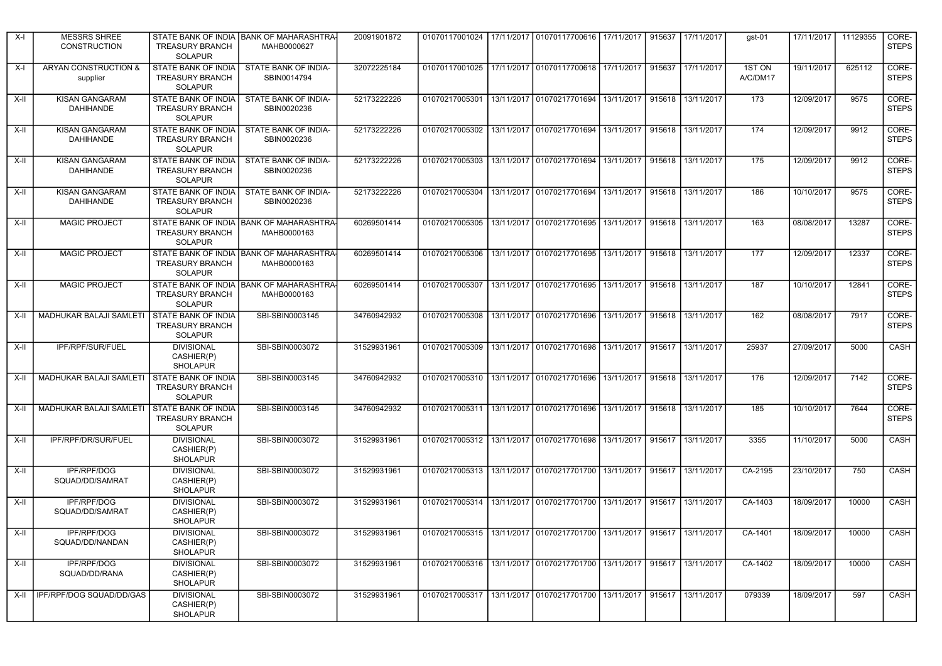| X-l    | <b>MESSRS SHREE</b><br><b>CONSTRUCTION</b> | <b>TREASURY BRANCH</b><br><b>SOLAPUR</b>                               | STATE BANK OF INDIA BANK OF MAHARASHTRA<br>MAHB0000627 | 20091901872 |                                                                                 | 01070117001024 17/11/2017 01070117700616 17/11/2017                   |            | 915637 | 17/11/2017        | gst-01             | 17/11/2017 | 11129355 | CORE-<br><b>STEPS</b> |
|--------|--------------------------------------------|------------------------------------------------------------------------|--------------------------------------------------------|-------------|---------------------------------------------------------------------------------|-----------------------------------------------------------------------|------------|--------|-------------------|--------------------|------------|----------|-----------------------|
| X-l    | ARYAN CONSTRUCTION &<br>supplier           | STATE BANK OF INDIA<br><b>TREASURY BRANCH</b><br><b>SOLAPUR</b>        | STATE BANK OF INDIA-<br>SBIN0014794                    | 32072225184 | 01070117001025 17/11/2017 01070117700618 17/11/2017                             |                                                                       |            |        | 915637 17/11/2017 | 1ST ON<br>A/C/DM17 | 19/11/2017 | 625112   | CORE-<br><b>STEPS</b> |
| X-II   | <b>KISAN GANGARAM</b><br><b>DAHIHANDE</b>  | STATE BANK OF INDIA<br><b>TREASURY BRANCH</b><br><b>SOLAPUR</b>        | STATE BANK OF INDIA-<br>SBIN0020236                    | 52173222226 | 01070217005301                                                                  | 13/11/2017 01070217701694 13/11/2017                                  |            | 915618 | 13/11/2017        | 173                | 12/09/2017 | 9575     | CORE-<br><b>STEPS</b> |
| X-II   | <b>KISAN GANGARAM</b><br>DAHIHANDE         | STATE BANK OF INDIA<br><b>TREASURY BRANCH</b><br><b>SOLAPUR</b>        | STATE BANK OF INDIA-<br>SBIN0020236                    | 52173222226 | 01070217005302   13/11/2017   01070217701694   13/11/2017                       |                                                                       |            | 915618 | 13/11/2017        | 174                | 12/09/2017 | 9912     | CORE-<br><b>STEPS</b> |
| X-II   | <b>KISAN GANGARAM</b><br><b>DAHIHANDE</b>  | STATE BANK OF INDIA<br><b>TREASURY BRANCH</b><br><b>SOLAPUR</b>        | STATE BANK OF INDIA-<br>SBIN0020236                    | 52173222226 | 01070217005303                                                                  | 13/11/2017 01070217701694                                             | 13/11/2017 | 915618 | 13/11/2017        | 175                | 12/09/2017 | 9912     | CORE-<br><b>STEPS</b> |
| X-II   | KISAN GANGARAM<br><b>DAHIHANDE</b>         | <b>STATE BANK OF INDIA</b><br><b>TREASURY BRANCH</b><br><b>SOLAPUR</b> | STATE BANK OF INDIA-<br>SBIN0020236                    | 52173222226 | 01070217005304                                                                  | 13/11/2017 01070217701694 13/11/2017                                  |            |        | 915618 13/11/2017 | 186                | 10/10/2017 | 9575     | CORE-<br><b>STEPS</b> |
| X-II   | <b>MAGIC PROJECT</b>                       | <b>TREASURY BRANCH</b><br><b>SOLAPUR</b>                               | STATE BANK OF INDIA BANK OF MAHARASHTRA<br>MAHB0000163 | 60269501414 | 01070217005305                                                                  | 13/11/2017 01070217701695 13/11/2017                                  |            | 915618 | 13/11/2017        | 163                | 08/08/2017 | 13287    | CORE-<br><b>STEPS</b> |
| X-II   | <b>MAGIC PROJECT</b>                       | <b>TREASURY BRANCH</b><br><b>SOLAPUR</b>                               | STATE BANK OF INDIA BANK OF MAHARASHTRA<br>MAHB0000163 | 60269501414 |                                                                                 | 01070217005306   13/11/2017   01070217701695   13/11/2017             |            |        | 915618 13/11/2017 | 177                | 12/09/2017 | 12337    | CORE-<br><b>STEPS</b> |
| X-II   | <b>MAGIC PROJECT</b>                       | <b>TREASURY BRANCH</b><br><b>SOLAPUR</b>                               | STATE BANK OF INDIA BANK OF MAHARASHTRA<br>MAHB0000163 | 60269501414 | 01070217005307                                                                  | 13/11/2017   01070217701695   13/11/2017                              |            |        | 915618 13/11/2017 | 187                | 10/10/2017 | 12841    | CORE-<br><b>STEPS</b> |
| X-II   | <b>MADHUKAR BALAJI SAMLETI</b>             | STATE BANK OF INDIA<br><b>TREASURY BRANCH</b><br><b>SOLAPUR</b>        | SBI-SBIN0003145                                        | 34760942932 | 01070217005308                                                                  | 13/11/2017   01070217701696   13/11/2017                              |            |        | 915618 13/11/2017 | 162                | 08/08/2017 | 7917     | CORE-<br><b>STEPS</b> |
| X-II   | IPF/RPF/SUR/FUEL                           | <b>DIVISIONAL</b><br>CASHIER(P)<br><b>SHOLAPUR</b>                     | SBI-SBIN0003072                                        | 31529931961 |                                                                                 | 01070217005309 13/11/2017 01070217701698 13/11/2017                   |            | 915617 | 13/11/2017        | 25937              | 27/09/2017 | 5000     | CASH                  |
| X-II   | MADHUKAR BALAJI SAMLETI                    | <b>STATE BANK OF INDIA</b><br><b>TREASURY BRANCH</b><br><b>SOLAPUR</b> | SBI-SBIN0003145                                        | 34760942932 | 01070217005310   13/11/2017   01070217701696   13/11/2017                       |                                                                       |            | 915618 | 13/11/2017        | 176                | 12/09/2017 | 7142     | CORE-<br><b>STEPS</b> |
| X-II   | MADHUKAR BALAJI SAMLETI                    | <b>STATE BANK OF INDIA</b><br><b>TREASURY BRANCH</b><br><b>SOLAPUR</b> | SBI-SBIN0003145                                        | 34760942932 | 01070217005311                                                                  | 13/11/2017   01070217701696                                           | 13/11/2017 | 915618 | 13/11/2017        | 185                | 10/10/2017 | 7644     | CORE-<br><b>STEPS</b> |
| X-II   | IPF/RPF/DR/SUR/FUEL                        | <b>DIVISIONAL</b><br>CASHIER(P)<br><b>SHOLAPUR</b>                     | SBI-SBIN0003072                                        | 31529931961 |                                                                                 | 01070217005312   13/11/2017   01070217701698   13/11/2017             |            |        | 915617 13/11/2017 | 3355               | 11/10/2017 | 5000     | CASH                  |
| X-II   | <b>IPF/RPF/DOG</b><br>SQUAD/DD/SAMRAT      | <b>DIVISIONAL</b><br>CASHIER(P)<br><b>SHOLAPUR</b>                     | SBI-SBIN0003072                                        | 31529931961 |                                                                                 | 01070217005313 13/11/2017 01070217701700 13/11/2017                   |            | 915617 | 13/11/2017        | CA-2195            | 23/10/2017 | 750      | CASH                  |
| X-II   | IPF/RPF/DOG<br>SQUAD/DD/SAMRAT             | <b>DIVISIONAL</b><br>CASHIER(P)<br><b>SHOLAPUR</b>                     | SBI-SBIN0003072                                        | 31529931961 | 01070217005314   13/11/2017   01070217701700   13/11/2017                       |                                                                       |            | 915617 | 13/11/2017        | CA-1403            | 18/09/2017 | 10000    | CASH                  |
| $X-I$  | IPF/RPF/DOG<br>SQUAD/DD/NANDAN             | <b>DIVISIONAL</b><br>CASHIER(P)<br>SHOLAPUR                            | SBI-SBIN0003072                                        | 31529931961 | 01070217005315   13/11/2017   01070217701700   13/11/2017   915617   13/11/2017 |                                                                       |            |        |                   | CA-1401            | 18/09/2017 | 10000    | CASH                  |
| $X-II$ | IPF/RPF/DOG<br>SQUAD/DD/RANA               | <b>DIVISIONAL</b><br>CASHIER(P)<br>SHOLAPUR                            | SBI-SBIN0003072                                        | 31529931961 | 01070217005316 13/11/2017 01070217701700 13/11/2017 915617 13/11/2017           |                                                                       |            |        |                   | CA-1402            | 18/09/2017 | 10000    | CASH                  |
| X-II   | IPF/RPF/DOG SQUAD/DD/GAS                   | <b>DIVISIONAL</b><br>CASHIER(P)<br>SHOLAPUR                            | SBI-SBIN0003072                                        | 31529931961 |                                                                                 | 01070217005317 13/11/2017 01070217701700 13/11/2017 915617 13/11/2017 |            |        |                   | 079339             | 18/09/2017 | 597      | CASH                  |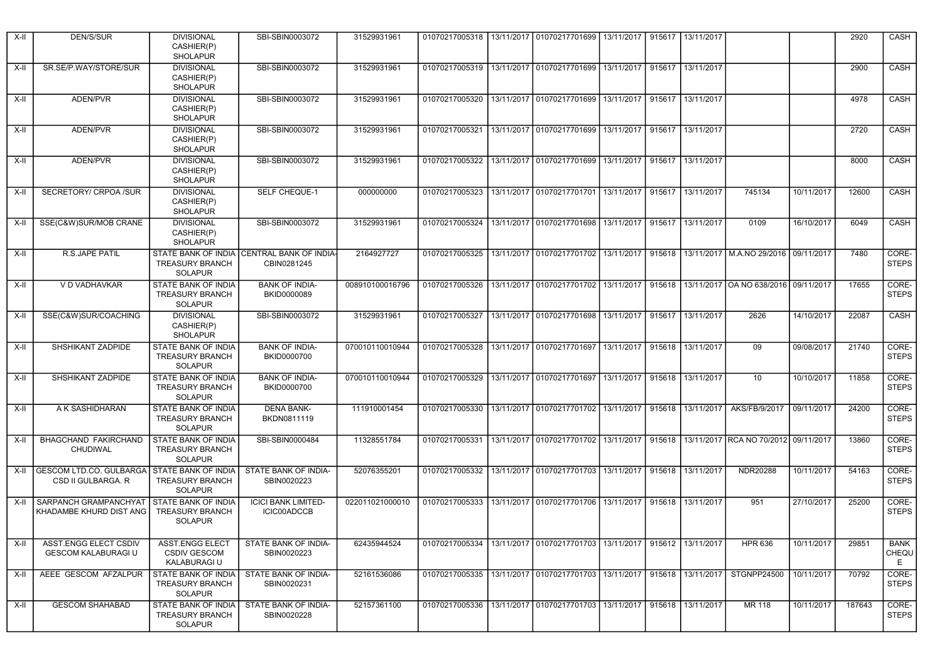| X-II | DEN/S/SUR                                            | <b>DIVISIONAL</b><br>CASHIER(P)<br><b>SHOLAPUR</b>                     | SBI-SBIN0003072                                  | 31529931961     |                                          | 01070217005318   13/11/2017   01070217701699   13/11/2017 |            |        | 915617 13/11/2017 |                                                   |            | 2920   | CASH                      |
|------|------------------------------------------------------|------------------------------------------------------------------------|--------------------------------------------------|-----------------|------------------------------------------|-----------------------------------------------------------|------------|--------|-------------------|---------------------------------------------------|------------|--------|---------------------------|
| X-II | SR.SE/P.WAY/STORE/SUR                                | <b>DIVISIONAL</b><br>CASHIER(P)<br><b>SHOLAPUR</b>                     | SBI-SBIN0003072                                  | 31529931961     |                                          | 01070217005319   13/11/2017   01070217701699   13/11/2017 |            |        | 915617 13/11/2017 |                                                   |            | 2900   | CASH                      |
| X-II | ADEN/PVR                                             | <b>DIVISIONAL</b><br>CASHIER(P)<br><b>SHOLAPUR</b>                     | SBI-SBIN0003072                                  | 31529931961     | 01070217005320                           | 13/11/2017   01070217701699                               | 13/11/2017 | 915617 | 13/11/2017        |                                                   |            | 4978   | CASH                      |
| X-II | ADEN/PVR                                             | <b>DIVISIONAL</b><br>CASHIER(P)<br><b>SHOLAPUR</b>                     | SBI-SBIN0003072                                  | 31529931961     | 01070217005321                           | 13/11/2017   01070217701699   13/11/2017                  |            |        | 915617 13/11/2017 |                                                   |            | 2720   | CASH                      |
| X-II | ADEN/PVR                                             | <b>DIVISIONAL</b><br>CASHIER(P)<br><b>SHOLAPUR</b>                     | SBI-SBIN0003072                                  | 31529931961     | 01070217005322                           | 13/11/2017 01070217701699                                 | 13/11/2017 | 915617 | 13/11/2017        |                                                   |            | 8000   | CASH                      |
| X-II | SECRETORY/ CRPOA /SUR                                | <b>DIVISIONAL</b><br>CASHIER(P)<br><b>SHOLAPUR</b>                     | <b>SELF CHEQUE-1</b>                             | 000000000       | 01070217005323                           | 13/11/2017   01070217701701   13/11/2017                  |            |        | 915617 13/11/2017 | 745134                                            | 10/11/2017 | 12600  | CASH                      |
| X-II | SSE(C&W)SUR/MOB CRANE                                | <b>DIVISIONAL</b><br>CASHIER(P)<br><b>SHOLAPUR</b>                     | SBI-SBIN0003072                                  | 31529931961     | 01070217005324                           | 13/11/2017 01070217701698                                 | 13/11/2017 |        | 915617 13/11/2017 | 0109                                              | 16/10/2017 | 6049   | CASH                      |
| X-II | <b>R.S.JAPE PATIL</b>                                | STATE BANK OF INDIA<br><b>TREASURY BRANCH</b><br><b>SOLAPUR</b>        | <b>CENTRAL BANK OF INDIA</b><br>CBIN0281245      | 2164927727      | 01070217005325                           | 13/11/2017 01070217701702 13/11/2017                      |            |        |                   | 915618   13/11/2017   M.A.NO 29/2016   09/11/2017 |            | 7480   | CORE-<br><b>STEPS</b>     |
| X-II | V D VADHAVKAR                                        | STATE BANK OF INDIA<br><b>TREASURY BRANCH</b><br><b>SOLAPUR</b>        | <b>BANK OF INDIA-</b><br><b>BKID0000089</b>      | 008910100016796 | 01070217005326                           | 13/11/2017 01070217701702 13/11/2017                      |            |        |                   | 915618   13/11/2017   OA NO 638/2016   09/11/2017 |            | 17655  | CORE-<br><b>STEPS</b>     |
| X-II | SSE(C&W)SUR/COACHING                                 | <b>DIVISIONAL</b><br>CASHIER(P)<br><b>SHOLAPUR</b>                     | SBI-SBIN0003072                                  | 31529931961     | 01070217005327                           | 13/11/2017 01070217701698                                 | 13/11/2017 | 915617 | 13/11/2017        | 2626                                              | 14/10/2017 | 22087  | CASH                      |
| X-II | SHSHIKANT ZADPIDE                                    | <b>STATE BANK OF INDIA</b><br><b>TREASURY BRANCH</b><br><b>SOLAPUR</b> | <b>BANK OF INDIA-</b><br>BKID0000700             | 070010110010944 | 01070217005328                           | 13/11/2017 01070217701697                                 | 13/11/2017 |        | 915618 13/11/2017 | 09                                                | 09/08/2017 | 21740  | CORE-<br><b>STEPS</b>     |
| X-II | SHSHIKANT ZADPIDE                                    | STATE BANK OF INDIA<br><b>TREASURY BRANCH</b><br><b>SOLAPUR</b>        | <b>BANK OF INDIA-</b><br>BKID0000700             | 070010110010944 | 01070217005329 13/11/2017 01070217701697 |                                                           | 13/11/2017 |        | 915618 13/11/2017 | 10                                                | 10/10/2017 | 11858  | CORE-<br><b>STEPS</b>     |
| X-II | A K SASHIDHARAN                                      | <b>STATE BANK OF INDIA</b><br><b>TREASURY BRANCH</b><br><b>SOLAPUR</b> | <b>DENA BANK-</b><br>BKDN0811119                 | 111910001454    | 01070217005330                           | 13/11/2017 01070217701702                                 | 13/11/2017 | 915618 | 13/11/2017        | AKS/FB/9/2017                                     | 09/11/2017 | 24200  | CORE-<br><b>STEPS</b>     |
| X-II | <b>BHAGCHAND FAKIRCHAND</b><br>CHUDIWAL              | STATE BANK OF INDIA<br><b>TREASURY BRANCH</b><br><b>SOLAPUR</b>        | SBI-SBIN0000484                                  | 11328551784     | 01070217005331                           | 13/11/2017 01070217701702 13/11/2017                      |            |        |                   | 915618   13/11/2017   RCA NO 70/2012   09/11/2017 |            | 13860  | CORE-<br><b>STEPS</b>     |
| X-II | <b>GESCOM LTD.CO. GULBARGA</b><br>CSD II GULBARGA. R | <b>STATE BANK OF INDIA</b><br><b>TREASURY BRANCH</b><br><b>SOLAPUR</b> | STATE BANK OF INDIA-<br>SBIN0020223              | 52076355201     | 01070217005332                           | 13/11/2017 01070217701703 13/11/2017                      |            |        | 915618 13/11/2017 | NDR20288                                          | 10/11/2017 | 54163  | CORE-<br><b>STEPS</b>     |
| X-II | SARPANCH GRAMPANCHYAT<br>KHADAMBE KHURD DIST ANG     | <b>STATE BANK OF INDIA</b><br><b>TREASURY BRANCH</b><br><b>SOLAPUR</b> | <b>ICICI BANK LIMITED-</b><br><b>ICIC00ADCCB</b> | 022011021000010 | 01070217005333                           | 13/11/2017 01070217701706                                 | 13/11/2017 |        | 915618 13/11/2017 | 951                                               | 27/10/2017 | 25200  | CORE-<br><b>STEPS</b>     |
| X-II | ASST.ENGG ELECT CSDIV<br><b>GESCOM KALABURAGI U</b>  | ASST.ENGG ELECT<br><b>CSDIV GESCOM</b><br>KALABURAGI U                 | STATE BANK OF INDIA-<br>SBIN0020223              | 62435944524     | 01070217005334                           | 13/11/2017   01070217701703   13/11/2017                  |            |        | 915612 13/11/2017 | <b>HPR 636</b>                                    | 10/11/2017 | 29851  | <b>BANK</b><br>CHEQU<br>E |
| X-II | AEEE GESCOM AFZALPUR                                 | <b>STATE BANK OF INDIA</b><br>TREASURY BRANCH<br>SOLAPUR               | STATE BANK OF INDIA-<br>SBIN0020231              | 52161536086     |                                          | 01070217005335 13/11/2017 01070217701703 13/11/2017       |            |        |                   | 915618 13/11/2017 STGNPP24500                     | 10/11/2017 | 70792  | CORE-<br><b>STEPS</b>     |
| X-II | <b>GESCOM SHAHABAD</b>                               | STATE BANK OF INDIA<br><b>TREASURY BRANCH</b><br>SOLAPUR               | STATE BANK OF INDIA-<br>SBIN0020228              | 52157361100     | 01070217005336                           | 13/11/2017 01070217701703 13/11/2017                      |            |        | 915618 13/11/2017 | MR 118                                            | 10/11/2017 | 187643 | CORE-<br><b>STEPS</b>     |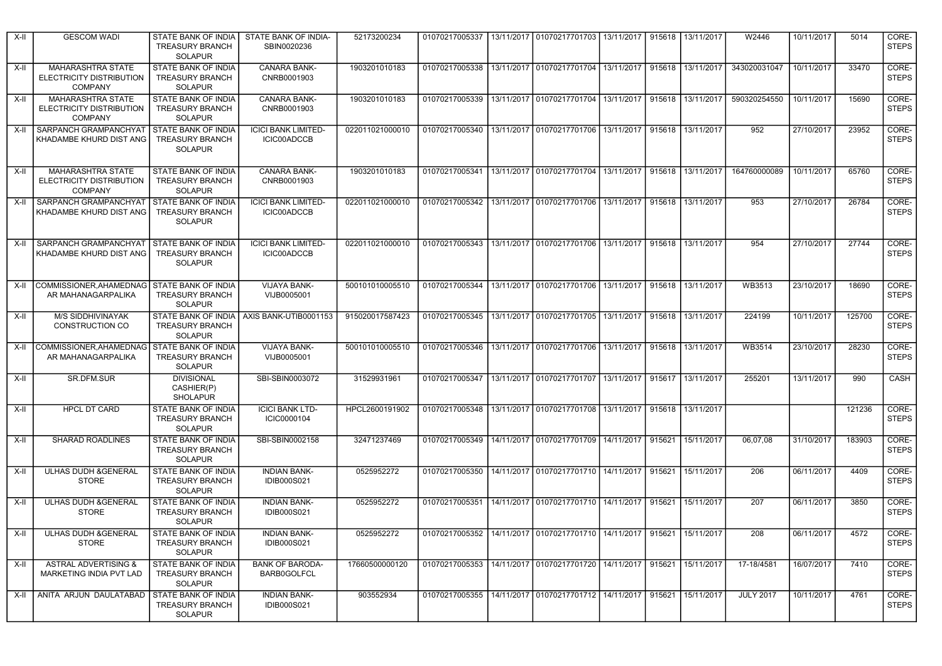| X-II   | <b>GESCOM WADI</b>                                                     | STATE BANK OF INDIA<br><b>TREASURY BRANCH</b><br><b>SOLAPUR</b>        | STATE BANK OF INDIA-<br>SBIN0020236              | 52173200234     | 01070217005337                                                                  | 13/11/2017   01070217701703   13/11/2017                       |            |        | 915618 13/11/2017 | W2446            | 10/11/2017 | 5014   | CORE-<br><b>STEPS</b> |
|--------|------------------------------------------------------------------------|------------------------------------------------------------------------|--------------------------------------------------|-----------------|---------------------------------------------------------------------------------|----------------------------------------------------------------|------------|--------|-------------------|------------------|------------|--------|-----------------------|
| $X-II$ | MAHARASHTRA STATE<br>ELECTRICITY DISTRIBUTION<br><b>COMPANY</b>        | STATE BANK OF INDIA<br><b>TREASURY BRANCH</b><br><b>SOLAPUR</b>        | <b>CANARA BANK-</b><br>CNRB0001903               | 1903201010183   | 01070217005338 13/11/2017 01070217701704 13/11/2017                             |                                                                |            |        | 915618 13/11/2017 | 343020031047     | 10/11/2017 | 33470  | CORE-<br><b>STEPS</b> |
| X-II   | <b>MAHARASHTRA STATE</b><br>ELECTRICITY DISTRIBUTION<br><b>COMPANY</b> | STATE BANK OF INDIA<br>TREASURY BRANCH<br><b>SOLAPUR</b>               | <b>CANARA BANK-</b><br>CNRB0001903               | 1903201010183   | 01070217005339                                                                  | 13/11/2017   01070217701704                                    | 13/11/2017 |        | 915618 13/11/2017 | 590320254550     | 10/11/2017 | 15690  | CORE-<br><b>STEPS</b> |
| X-II   | SARPANCH GRAMPANCHYAT<br>KHADAMBE KHURD DIST ANG                       | STATE BANK OF INDIA<br><b>TREASURY BRANCH</b><br><b>SOLAPUR</b>        | <b>ICICI BANK LIMITED-</b><br><b>ICIC00ADCCB</b> | 022011021000010 | 01070217005340   13/11/2017   01070217701706   13/11/2017   915618   13/11/2017 |                                                                |            |        |                   | 952              | 27/10/2017 | 23952  | CORE-<br><b>STEPS</b> |
| X-II   | <b>MAHARASHTRA STATE</b><br>ELECTRICITY DISTRIBUTION<br><b>COMPANY</b> | STATE BANK OF INDIA<br><b>TREASURY BRANCH</b><br><b>SOLAPUR</b>        | <b>CANARA BANK-</b><br>CNRB0001903               | 1903201010183   | 01070217005341                                                                  | 13/11/2017   01070217701704   13/11/2017   915618   13/11/2017 |            |        |                   | 164760000089     | 10/11/2017 | 65760  | CORE-<br><b>STEPS</b> |
| X-II   | SARPANCH GRAMPANCHYAT<br>KHADAMBE KHURD DIST ANG                       | STATE BANK OF INDIA<br><b>TREASURY BRANCH</b><br><b>SOLAPUR</b>        | <b>ICICI BANK LIMITED-</b><br>ICIC00ADCCB        | 022011021000010 | 01070217005342   13/11/2017   01070217701706   13/11/2017                       |                                                                |            |        | 915618 13/11/2017 | 953              | 27/10/2017 | 26784  | CORE-<br><b>STEPS</b> |
| X-II   | SARPANCH GRAMPANCHYAT<br>KHADAMBE KHURD DIST ANG                       | STATE BANK OF INDIA<br><b>TREASURY BRANCH</b><br><b>SOLAPUR</b>        | <b>ICICI BANK LIMITED-</b><br><b>ICIC00ADCCB</b> | 022011021000010 | 01070217005343   13/11/2017   01070217701706   13/11/2017   915618   13/11/2017 |                                                                |            |        |                   | 954              | 27/10/2017 | 27744  | CORE-<br><b>STEPS</b> |
| X-II   | COMMISSIONER.AHAMEDNAG STATE BANK OF INDIA<br>AR MAHANAGARPALIKA       | TREASURY BRANCH<br><b>SOLAPUR</b>                                      | <b>VIJAYA BANK-</b><br>VIJB0005001               | 500101010005510 | 01070217005344                                                                  | 13/11/2017 01070217701706 13/11/2017 915618 13/11/2017         |            |        |                   | WB3513           | 23/10/2017 | 18690  | CORE-<br><b>STEPS</b> |
| X-II   | <b>M/S SIDDHIVINAYAK</b><br>CONSTRUCTION CO                            | STATE BANK OF INDIA<br><b>TREASURY BRANCH</b><br><b>SOLAPUR</b>        | AXIS BANK-UTIB0001153                            | 915020017587423 | 01070217005345   13/11/2017   01070217701705   13/11/2017                       |                                                                |            |        | 915618 13/11/2017 | 224199           | 10/11/2017 | 125700 | CORE-<br><b>STEPS</b> |
| X-II   | COMMISSIONER.AHAMEDNAG<br>AR MAHANAGARPALIKA                           | <b>STATE BANK OF INDIA</b><br><b>TREASURY BRANCH</b><br><b>SOLAPUR</b> | <b>VIJAYA BANK-</b><br>VIJB0005001               | 500101010005510 | 01070217005346   13/11/2017   01070217701706   13/11/2017                       |                                                                |            |        | 915618 13/11/2017 | WB3514           | 23/10/2017 | 28230  | CORE-<br><b>STEPS</b> |
| X-II   | SR.DFM.SUR                                                             | <b>DIVISIONAL</b><br>CASHIER(P)<br><b>SHOLAPUR</b>                     | SBI-SBIN0003072                                  | 31529931961     | 01070217005347 13/11/2017 01070217701707 13/11/2017 915617 13/11/2017           |                                                                |            |        |                   | 255201           | 13/11/2017 | 990    | CASH                  |
| X-II   | <b>HPCL DT CARD</b>                                                    | STATE BANK OF INDIA<br>TREASURY BRANCH<br><b>SOLAPUR</b>               | <b>ICICI BANK LTD-</b><br>ICIC0000104            | HPCL2600191902  |                                                                                 | 01070217005348   13/11/2017   01070217701708   13/11/2017      |            |        | 915618 13/11/2017 |                  |            | 121236 | CORE-<br><b>STEPS</b> |
| $X-II$ | SHARAD ROADLINES                                                       | STATE BANK OF INDIA<br><b>TREASURY BRANCH</b><br><b>SOLAPUR</b>        | SBI-SBIN0002158                                  | 32471237469     | 01070217005349                                                                  | 14/11/2017   01070217701709   14/11/2017                       |            |        | 915621 15/11/2017 | 06,07,08         | 31/10/2017 | 183903 | CORE-<br><b>STEPS</b> |
| X-II   | <b>ULHAS DUDH &amp; GENERAL</b><br><b>STORE</b>                        | <b>STATE BANK OF INDIA</b><br>TREASURY BRANCH<br><b>SOLAPUR</b>        | <b>INDIAN BANK-</b><br><b>IDIB000S021</b>        | 0525952272      |                                                                                 | 01070217005350 14/11/2017 01070217701710 14/11/2017            |            | 915621 | 15/11/2017        | 206              | 06/11/2017 | 4409   | CORE-<br><b>STEPS</b> |
| X-II   | ULHAS DUDH & GENERAL<br><b>STORE</b>                                   | STATE BANK OF INDIA<br><b>TREASURY BRANCH</b><br><b>SOLAPUR</b>        | <b>INDIAN BANK-</b><br><b>IDIB000S021</b>        | 0525952272      |                                                                                 | 01070217005351 14/11/2017 01070217701710 14/11/2017            |            |        | 915621 15/11/2017 | 207              | 06/11/2017 | 3850   | CORE-<br><b>STEPS</b> |
| $X-H$  | ULHAS DUDH & GENERAL<br><b>STORE</b>                                   | <b>STATE BANK OF INDIA</b><br><b>TREASURY BRANCH</b><br>SOLAPUR        | <b>INDIAN BANK-</b><br><b>IDIB000S021</b>        | 0525952272      | 01070217005352   14/11/2017   01070217701710   14/11/2017   915621   15/11/2017 |                                                                |            |        |                   | 208              | 06/11/2017 | 4572   | CORE-<br><b>STEPS</b> |
| X-II   | <b>ASTRAL ADVERTISING &amp;</b><br>MARKETING INDIA PVT LAD             | STATE BANK OF INDIA<br><b>TREASURY BRANCH</b><br><b>SOLAPUR</b>        | <b>BANK OF BARODA-</b><br>BARB0GOLFCL            | 17660500000120  | 01070217005353 14/11/2017 01070217701720 14/11/2017 915621 15/11/2017           |                                                                |            |        |                   | 17-18/4581       | 16/07/2017 | 7410   | CORE-<br><b>STEPS</b> |
| X-II   | ANITA ARJUN DAULATABAD                                                 | STATE BANK OF INDIA<br>TREASURY BRANCH<br><b>SOLAPUR</b>               | <b>INDIAN BANK-</b><br><b>IDIB000S021</b>        | 903552934       | 01070217005355 14/11/2017 01070217701712 14/11/2017 915621 15/11/2017           |                                                                |            |        |                   | <b>JULY 2017</b> | 10/11/2017 | 4761   | CORE-<br><b>STEPS</b> |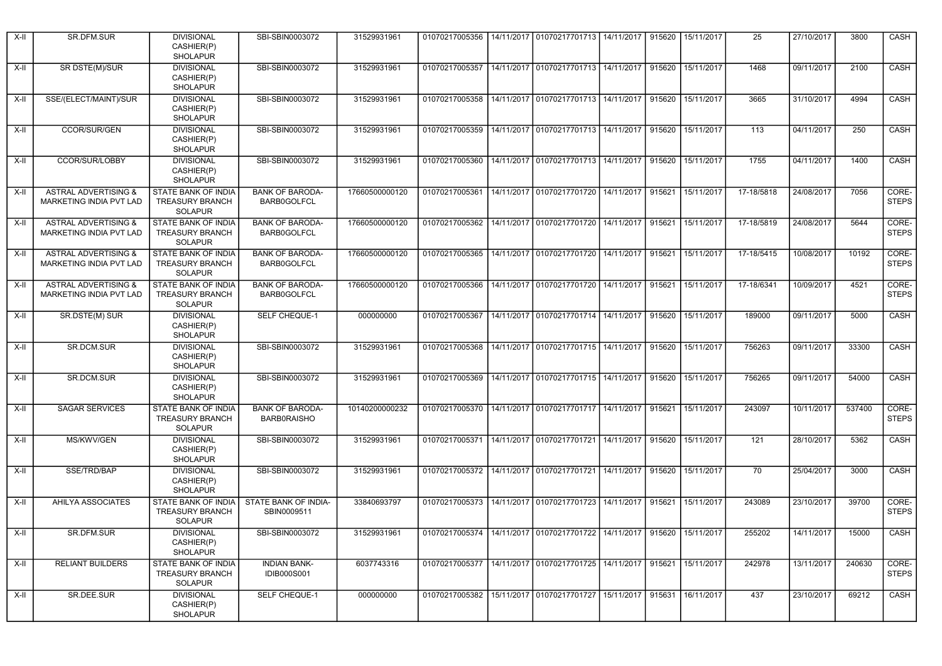| X-II   | SR.DFM.SUR                                                 | <b>DIVISIONAL</b><br>CASHIER(P)<br><b>SHOLAPUR</b>                     | SBI-SBIN0003072                              | 31529931961    |                                                                                 | 01070217005356   14/11/2017   01070217701713   14/11/2017                       |            | 915620 | 15/11/2017        | 25         | 27/10/2017 | 3800   | CASH                  |
|--------|------------------------------------------------------------|------------------------------------------------------------------------|----------------------------------------------|----------------|---------------------------------------------------------------------------------|---------------------------------------------------------------------------------|------------|--------|-------------------|------------|------------|--------|-----------------------|
| X-II   | SR DSTE(M)/SUR                                             | <b>DIVISIONAL</b><br>CASHIER(P)<br><b>SHOLAPUR</b>                     | SBI-SBIN0003072                              | 31529931961    | 01070217005357                                                                  | 14/11/2017 01070217701713 14/11/2017                                            |            | 915620 | 15/11/2017        | 1468       | 09/11/2017 | 2100   | CASH                  |
| X-II   | SSE/(ELECT/MAINT)/SUR                                      | <b>DIVISIONAL</b><br>CASHIER(P)<br><b>SHOLAPUR</b>                     | SBI-SBIN0003072                              | 31529931961    |                                                                                 | 01070217005358   14/11/2017   01070217701713   14/11/2017                       |            | 915620 | 15/11/2017        | 3665       | 31/10/2017 | 4994   | CASH                  |
| X-II   | CCOR/SUR/GEN                                               | <b>DIVISIONAL</b><br>CASHIER(P)<br><b>SHOLAPUR</b>                     | SBI-SBIN0003072                              | 31529931961    |                                                                                 | 01070217005359   14/11/2017   01070217701713   14/11/2017                       |            | 915620 | 15/11/2017        | 113        | 04/11/2017 | 250    | CASH                  |
| X-II   | CCOR/SUR/LOBBY                                             | <b>DIVISIONAL</b><br>CASHIER(P)<br><b>SHOLAPUR</b>                     | SBI-SBIN0003072                              | 31529931961    | 01070217005360                                                                  | 14/11/2017 01070217701713 14/11/2017                                            |            | 915620 | 15/11/2017        | 1755       | 04/11/2017 | 1400   | CASH                  |
| X-II   | <b>ASTRAL ADVERTISING &amp;</b><br>MARKETING INDIA PVT LAD | <b>STATE BANK OF INDIA</b><br><b>TREASURY BRANCH</b><br><b>SOLAPUR</b> | <b>BANK OF BARODA-</b><br>BARB0GOLFCL        | 17660500000120 | 01070217005361                                                                  | 14/11/2017   01070217701720   14/11/2017                                        |            | 915621 | 15/11/2017        | 17-18/5818 | 24/08/2017 | 7056   | CORE-<br><b>STEPS</b> |
| X-II   | <b>ASTRAL ADVERTISING &amp;</b><br>MARKETING INDIA PVT LAD | <b>STATE BANK OF INDIA</b><br><b>TREASURY BRANCH</b><br><b>SOLAPUR</b> | <b>BANK OF BARODA-</b><br>BARB0GOLFCL        | 17660500000120 | 01070217005362                                                                  | 14/11/2017   01070217701720                                                     | 14/11/2017 | 915621 | 15/11/2017        | 17-18/5819 | 24/08/2017 | 5644   | CORE-<br><b>STEPS</b> |
| X-II   | <b>ASTRAL ADVERTISING &amp;</b><br>MARKETING INDIA PVT LAD | STATE BANK OF INDIA<br><b>TREASURY BRANCH</b><br><b>SOLAPUR</b>        | <b>BANK OF BARODA-</b><br>BARB0GOLFCL        | 17660500000120 |                                                                                 | 01070217005365   14/11/2017   01070217701720   14/11/2017                       |            | 915621 | 15/11/2017        | 17-18/5415 | 10/08/2017 | 10192  | CORE-<br><b>STEPS</b> |
| X-II   | <b>ASTRAL ADVERTISING &amp;</b><br>MARKETING INDIA PVT LAD | STATE BANK OF INDIA<br><b>TREASURY BRANCH</b><br><b>SOLAPUR</b>        | <b>BANK OF BARODA-</b><br>BARB0GOLFCL        | 17660500000120 |                                                                                 | 01070217005366 14/11/2017 01070217701720 14/11/2017                             |            | 915621 | 15/11/2017        | 17-18/6341 | 10/09/2017 | 4521   | CORE-<br><b>STEPS</b> |
| X-II   | SR.DSTE(M) SUR                                             | <b>DIVISIONAL</b><br>CASHIER(P)<br><b>SHOLAPUR</b>                     | <b>SELF CHEQUE-1</b>                         | 000000000      | 01070217005367                                                                  | 14/11/2017 01070217701714 14/11/2017                                            |            | 915620 | 15/11/2017        | 189000     | 09/11/2017 | 5000   | CASH                  |
| X-II   | SR.DCM.SUR                                                 | <b>DIVISIONAL</b><br>CASHIER(P)<br><b>SHOLAPUR</b>                     | SBI-SBIN0003072                              | 31529931961    |                                                                                 | 01070217005368   14/11/2017   01070217701715   14/11/2017                       |            | 915620 | 15/11/2017        | 756263     | 09/11/2017 | 33300  | CASH                  |
| X-II   | SR.DCM.SUR                                                 | <b>DIVISIONAL</b><br>CASHIER(P)<br><b>SHOLAPUR</b>                     | SBI-SBIN0003072                              | 31529931961    |                                                                                 | 01070217005369   14/11/2017   01070217701715   14/11/2017                       |            | 915620 | 15/11/2017        | 756265     | 09/11/2017 | 54000  | CASH                  |
| X-II   | <b>SAGAR SERVICES</b>                                      | <b>STATE BANK OF INDIA</b><br><b>TREASURY BRANCH</b><br><b>SOLAPUR</b> | <b>BANK OF BARODA-</b><br><b>BARB0RAISHO</b> | 10140200000232 |                                                                                 | 01070217005370   14/11/2017   01070217701717                                    | 14/11/2017 | 915621 | 15/11/2017        | 243097     | 10/11/2017 | 537400 | CORE-<br><b>STEPS</b> |
| X-II   | MS/KWV/GEN                                                 | <b>DIVISIONAL</b><br>CASHIER(P)<br><b>SHOLAPUR</b>                     | SBI-SBIN0003072                              | 31529931961    |                                                                                 | 01070217005371   14/11/2017   01070217701721   14/11/2017                       |            | 915620 | 15/11/2017        | 121        | 28/10/2017 | 5362   | CASH                  |
| X-II   | SSE/TRD/BAP                                                | <b>DIVISIONAL</b><br>CASHIER(P)<br><b>SHOLAPUR</b>                     | SBI-SBIN0003072                              | 31529931961    |                                                                                 | 01070217005372 14/11/2017 01070217701721 14/11/2017                             |            | 915620 | 15/11/2017        | 70         | 25/04/2017 | 3000   | CASH                  |
| X-II   | AHILYA ASSOCIATES                                          | STATE BANK OF INDIA<br><b>TREASURY BRANCH</b><br><b>SOLAPUR</b>        | STATE BANK OF INDIA-<br>SBIN0009511          | 33840693797    |                                                                                 | 01070217005373 14/11/2017 01070217701723                                        | 14/11/2017 | 915621 | 15/11/2017        | 243089     | 23/10/2017 | 39700  | CORE-<br><b>STEPS</b> |
| $X-H$  | SR.DFM.SUR                                                 | <b>DIVISIONAL</b><br>CASHIER(P)<br>SHOLAPUR                            | SBI-SBIN0003072                              | 31529931961    | 01070217005374   14/11/2017   01070217701722   14/11/2017   915620   15/11/2017 |                                                                                 |            |        |                   | 255202     | 14/11/2017 | 15000  | CASH                  |
| $X-II$ | <b>RELIANT BUILDERS</b>                                    | STATE BANK OF INDIA<br><b>TREASURY BRANCH</b><br><b>SOLAPUR</b>        | <b>INDIAN BANK-</b><br><b>IDIB000S001</b>    | 6037743316     |                                                                                 | 01070217005377   14/11/2017   01070217701725   14/11/2017                       |            |        | 915621 15/11/2017 | 242978     | 13/11/2017 | 240630 | CORE-<br><b>STEPS</b> |
| X-II   | SR.DEE.SUR                                                 | <b>DIVISIONAL</b><br>CASHIER(P)<br>SHOLAPUR                            | <b>SELF CHEQUE-1</b>                         | 000000000      |                                                                                 | 01070217005382   15/11/2017   01070217701727   15/11/2017   915631   16/11/2017 |            |        |                   | 437        | 23/10/2017 | 69212  | CASH                  |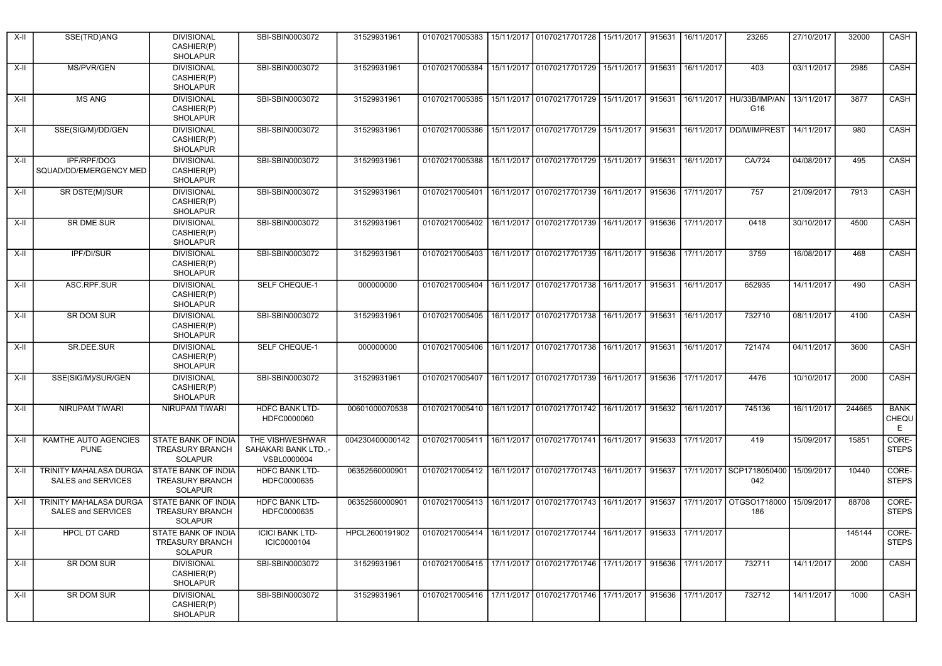| $X-II$ | SSE(TRD)ANG                                                | <b>DIVISIONAL</b><br>CASHIER(P)<br><b>SHOLAPUR</b>                     | SBI-SBIN0003072                                        | 31529931961                                                                          |                | 01070217005383   15/11/2017   01070217701728   15/11/2017             |            | 915631 | 16/11/2017        | 23265                           | 27/10/2017 | 32000  | CASH                      |
|--------|------------------------------------------------------------|------------------------------------------------------------------------|--------------------------------------------------------|--------------------------------------------------------------------------------------|----------------|-----------------------------------------------------------------------|------------|--------|-------------------|---------------------------------|------------|--------|---------------------------|
| X-II   | MS/PVR/GEN                                                 | <b>DIVISIONAL</b><br>CASHIER(P)<br><b>SHOLAPUR</b>                     | SBI-SBIN0003072                                        | 31529931961                                                                          | 01070217005384 | 15/11/2017 01070217701729 15/11/2017                                  |            | 915631 | 16/11/2017        | 403                             | 03/11/2017 | 2985   | CASH                      |
| X-II   | <b>MS ANG</b>                                              | <b>DIVISIONAL</b><br>CASHIER(P)<br><b>SHOLAPUR</b>                     | SBI-SBIN0003072                                        | 31529931961                                                                          |                | 01070217005385   15/11/2017   01070217701729   15/11/2017             |            | 915631 | 16/11/2017        | HU/33B/IMP/AN<br>G16            | 13/11/2017 | 3877   | CASH                      |
| X-II   | SSE(SIG/M)/DD/GEN                                          | <b>DIVISIONAL</b><br>CASHIER(P)<br><b>SHOLAPUR</b>                     | SBI-SBIN0003072                                        | 31529931961                                                                          | 01070217005386 | 15/11/2017   01070217701729   15/11/2017                              |            | 915631 |                   | 16/11/2017   DD/M/IMPREST       | 14/11/2017 | 980    | CASH                      |
| X-II   | <b>IPF/RPF/DOG</b><br>SQUAD/DD/EMERGENCY MED               | <b>DIVISIONAL</b><br>CASHIER(P)<br><b>SHOLAPUR</b>                     | SBI-SBIN0003072                                        | 31529931961                                                                          | 01070217005388 | 15/11/2017 01070217701729                                             | 15/11/2017 | 915631 | 16/11/2017        | CA/724                          | 04/08/2017 | 495    | CASH                      |
| X-II   | SR DSTE(M)/SUR                                             | <b>DIVISIONAL</b><br>CASHIER(P)<br><b>SHOLAPUR</b>                     | SBI-SBIN0003072                                        | 31529931961                                                                          | 01070217005401 | 16/11/2017 01070217701739 16/11/2017                                  |            |        | 915636 17/11/2017 | 757                             | 21/09/2017 | 7913   | CASH                      |
| X-II   | <b>SR DME SUR</b>                                          | <b>DIVISIONAL</b><br>CASHIER(P)<br><b>SHOLAPUR</b>                     | SBI-SBIN0003072                                        | 31529931961                                                                          | 01070217005402 | 16/11/2017 01070217701739 16/11/2017                                  |            | 915636 | 17/11/2017        | 0418                            | 30/10/2017 | 4500   | CASH                      |
| X-II   | <b>IPF/DI/SUR</b>                                          | <b>DIVISIONAL</b><br>CASHIER(P)<br><b>SHOLAPUR</b>                     | SBI-SBIN0003072                                        | 31529931961                                                                          |                | 01070217005403   16/11/2017   01070217701739   16/11/2017             |            | 915636 | 17/11/2017        | 3759                            | 16/08/2017 | 468    | CASH                      |
| X-II   | ASC.RPF.SUR                                                | <b>DIVISIONAL</b><br>CASHIER(P)<br><b>SHOLAPUR</b>                     | SELF CHEQUE-1                                          | 000000000                                                                            |                | 01070217005404 16/11/2017 01070217701738 16/11/2017                   |            | 915631 | 16/11/2017        | 652935                          | 14/11/2017 | 490    | CASH                      |
| X-II   | SR DOM SUR                                                 | <b>DIVISIONAL</b><br>CASHIER(P)<br><b>SHOLAPUR</b>                     | SBI-SBIN0003072                                        | 31529931961                                                                          | 01070217005405 | 16/11/2017 01070217701738 16/11/2017                                  |            | 915631 | 16/11/2017        | 732710                          | 08/11/2017 | 4100   | CASH                      |
| X-II   | SR.DEE.SUR                                                 | <b>DIVISIONAL</b><br>CASHIER(P)<br><b>SHOLAPUR</b>                     | SELF CHEQUE-1                                          | 000000000                                                                            |                | 01070217005406   16/11/2017   01070217701738   16/11/2017             |            | 915631 | 16/11/2017        | 721474                          | 04/11/2017 | 3600   | CASH                      |
| X-II   | SSE(SIG/M)/SUR/GEN                                         | <b>DIVISIONAL</b><br>CASHIER(P)<br><b>SHOLAPUR</b>                     | SBI-SBIN0003072                                        | 31529931961                                                                          |                | 01070217005407   16/11/2017   01070217701739   16/11/2017             |            | 915636 | 17/11/2017        | 4476                            | 10/10/2017 | 2000   | CASH                      |
| X-II   | NIRUPAM TIWARI                                             | <b>NIRUPAM TIWARI</b>                                                  | <b>HDFC BANK LTD-</b><br>HDFC0000060                   | 00601000070538                                                                       |                | 01070217005410   16/11/2017   01070217701742                          | 16/11/2017 | 915632 | 16/11/2017        | 745136                          | 16/11/2017 | 244665 | <b>BANK</b><br>CHEQU<br>Ε |
| X-II   | KAMTHE AUTO AGENCIES<br><b>PUNE</b>                        | STATE BANK OF INDIA<br><b>TREASURY BRANCH</b><br><b>SOLAPUR</b>        | THE VISHWESHWAR<br>SAHAKARI BANK LTD.,-<br>VSBL0000004 | 004230400000142                                                                      |                | 01070217005411   16/11/2017   01070217701741   16/11/2017             |            |        | 915633 17/11/2017 | 419                             | 15/09/2017 | 15851  | CORE-<br><b>STEPS</b>     |
| X-II   | <b>TRINITY MAHALASA DURGA</b><br><b>SALES and SERVICES</b> | <b>STATE BANK OF INDIA</b><br><b>TREASURY BRANCH</b><br><b>SOLAPUR</b> | <b>HDFC BANK LTD-</b><br>HDFC0000635                   | 06352560000901                                                                       |                | 01070217005412   16/11/2017   01070217701743   16/11/2017             |            | 915637 |                   | 17/11/2017 SCP1718050400<br>042 | 15/09/2017 | 10440  | CORE-<br><b>STEPS</b>     |
| X-II   | TRINITY MAHALASA DURGA<br>SALES and SERVICES               | <b>STATE BANK OF INDIA</b><br><b>TREASURY BRANCH</b><br><b>SOLAPUR</b> | <b>HDFC BANK LTD-</b><br>HDFC0000635                   | 06352560000901                                                                       |                | 01070217005413   16/11/2017   01070217701743                          | 16/11/2017 | 915637 | 17/11/2017        | OTGSO1718000<br>186             | 15/09/2017 | 88708  | CORE-<br><b>STEPS</b>     |
| $X-I$  | <b>HPCL DT CARD</b>                                        | STATE BANK OF INDIA<br><b>TREASURY BRANCH</b><br>SOLAPUR               | <b>ICICI BANK LTD-</b><br>ICIC0000104                  | HPCL2600191902 01070217005414 16/11/2017 01070217701744 16/11/2017 915633 17/11/2017 |                |                                                                       |            |        |                   |                                 |            | 145144 | CORE-<br><b>STEPS</b>     |
| $X-H$  | <b>SR DOM SUR</b>                                          | <b>DIVISIONAL</b><br>CASHIER(P)<br>SHOLAPUR                            | SBI-SBIN0003072                                        | 31529931961                                                                          |                | 01070217005415 17/11/2017 01070217701746 17/11/2017                   |            |        | 915636 17/11/2017 | 732711                          | 14/11/2017 | 2000   | CASH                      |
| X-II   | SR DOM SUR                                                 | <b>DIVISIONAL</b><br>CASHIER(P)<br>SHOLAPUR                            | SBI-SBIN0003072                                        | 31529931961                                                                          |                | 01070217005416 17/11/2017 01070217701746 17/11/2017 915636 17/11/2017 |            |        |                   | 732712                          | 14/11/2017 | 1000   | CASH                      |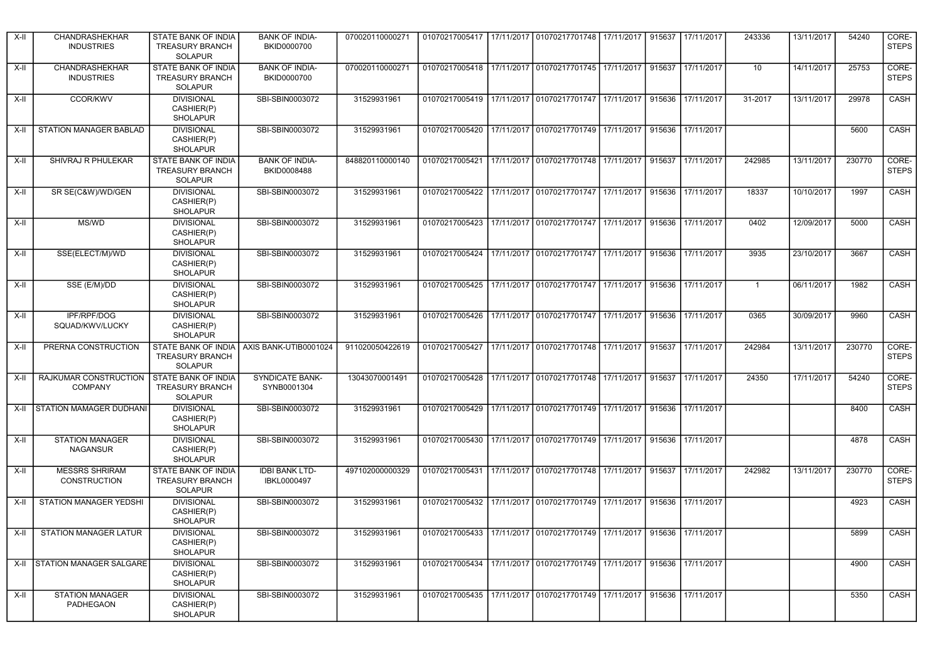| X-II  | CHANDRASHEKHAR<br><b>INDUSTRIES</b>          | STATE BANK OF INDIA<br><b>TREASURY BRANCH</b><br><b>SOLAPUR</b>        | <b>BANK OF INDIA-</b><br><b>BKID0000700</b> | 070020110000271 |                                                                       | 01070217005417 17/11/2017 01070217701748 17/11/2017                             |            | 915637 | 17/11/2017 | 243336         | 13/11/2017 | 54240  | CORE-<br><b>STEPS</b> |
|-------|----------------------------------------------|------------------------------------------------------------------------|---------------------------------------------|-----------------|-----------------------------------------------------------------------|---------------------------------------------------------------------------------|------------|--------|------------|----------------|------------|--------|-----------------------|
| X-II  | CHANDRASHEKHAR<br><b>INDUSTRIES</b>          | <b>STATE BANK OF INDIA</b><br><b>TREASURY BRANCH</b><br><b>SOLAPUR</b> | <b>BANK OF INDIA-</b><br>BKID0000700        | 070020110000271 |                                                                       | 01070217005418 17/11/2017 01070217701745 17/11/2017                             |            | 915637 | 17/11/2017 | 10             | 14/11/2017 | 25753  | CORE-<br><b>STEPS</b> |
| X-II  | <b>CCOR/KWV</b>                              | <b>DIVISIONAL</b><br>CASHIER(P)<br><b>SHOLAPUR</b>                     | SBI-SBIN0003072                             | 31529931961     |                                                                       | 01070217005419 17/11/2017 01070217701747 17/11/2017                             |            | 915636 | 17/11/2017 | 31-2017        | 13/11/2017 | 29978  | CASH                  |
| X-II  | STATION MANAGER BABLAD                       | <b>DIVISIONAL</b><br>CASHIER(P)<br><b>SHOLAPUR</b>                     | SBI-SBIN0003072                             | 31529931961     |                                                                       | 01070217005420 17/11/2017 01070217701749 17/11/2017                             |            | 915636 | 17/11/2017 |                |            | 5600   | CASH                  |
| $X-H$ | SHIVRAJ R PHULEKAR                           | <b>STATE BANK OF INDIA</b><br><b>TREASURY BRANCH</b><br><b>SOLAPUR</b> | <b>BANK OF INDIA-</b><br>BKID0008488        | 848820110000140 | 01070217005421                                                        | 17/11/2017 01070217701748                                                       | 17/11/2017 | 915637 | 17/11/2017 | 242985         | 13/11/2017 | 230770 | CORE-<br><b>STEPS</b> |
| X-II  | SR SE(C&W)/WD/GEN                            | <b>DIVISIONAL</b><br>CASHIER(P)<br><b>SHOLAPUR</b>                     | SBI-SBIN0003072                             | 31529931961     |                                                                       | 01070217005422 17/11/2017 01070217701747 17/11/2017 915636                      |            |        | 17/11/2017 | 18337          | 10/10/2017 | 1997   | CASH                  |
| X-II  | MS/WD                                        | <b>DIVISIONAL</b><br>CASHIER(P)<br><b>SHOLAPUR</b>                     | SBI-SBIN0003072                             | 31529931961     | 01070217005423                                                        | 17/11/2017 01070217701747 17/11/2017                                            |            | 915636 | 17/11/2017 | 0402           | 12/09/2017 | 5000   | CASH                  |
| X-II  | SSE(ELECT/M)/WD                              | <b>DIVISIONAL</b><br>CASHIER(P)<br><b>SHOLAPUR</b>                     | SBI-SBIN0003072                             | 31529931961     |                                                                       | 01070217005424   17/11/2017   01070217701747   17/11/2017                       |            | 915636 | 17/11/2017 | 3935           | 23/10/2017 | 3667   | CASH                  |
| X-II  | SSE (E/M)/DD                                 | <b>DIVISIONAL</b><br>CASHIER(P)<br><b>SHOLAPUR</b>                     | SBI-SBIN0003072                             | 31529931961     |                                                                       | 01070217005425 17/11/2017 01070217701747 17/11/2017                             |            | 915636 | 17/11/2017 | $\overline{1}$ | 06/11/2017 | 1982   | <b>CASH</b>           |
| X-II  | <b>IPF/RPF/DOG</b><br>SQUAD/KWV/LUCKY        | <b>DIVISIONAL</b><br>CASHIER(P)<br><b>SHOLAPUR</b>                     | SBI-SBIN0003072                             | 31529931961     | 01070217005426                                                        | 17/11/2017 01070217701747 17/11/2017                                            |            | 915636 | 17/11/2017 | 0365           | 30/09/2017 | 9960   | <b>CASH</b>           |
| X-II  | PRERNA CONSTRUCTION                          | STATE BANK OF INDIA<br><b>TREASURY BRANCH</b><br><b>SOLAPUR</b>        | AXIS BANK-UTIB0001024                       | 911020050422619 | 01070217005427                                                        | 17/11/2017 01070217701748 17/11/2017                                            |            | 915637 | 17/11/2017 | 242984         | 13/11/2017 | 230770 | CORE-<br><b>STEPS</b> |
| X-II  | RAJKUMAR CONSTRUCTION<br><b>COMPANY</b>      | <b>STATE BANK OF INDIA</b><br><b>TREASURY BRANCH</b><br><b>SOLAPUR</b> | <b>SYNDICATE BANK-</b><br>SYNB0001304       | 13043070001491  | 01070217005428 17/11/2017 01070217701748 17/11/2017                   |                                                                                 |            | 915637 | 17/11/2017 | 24350          | 17/11/2017 | 54240  | CORE-<br><b>STEPS</b> |
| X-II  | STATION MAMAGER DUDHANI                      | <b>DIVISIONAL</b><br>CASHIER(P)<br><b>SHOLAPUR</b>                     | SBI-SBIN0003072                             | 31529931961     |                                                                       | 01070217005429 17/11/2017 01070217701749 17/11/2017                             |            | 915636 | 17/11/2017 |                |            | 8400   | <b>CASH</b>           |
| X-II  | <b>STATION MANAGER</b><br><b>NAGANSUR</b>    | <b>DIVISIONAL</b><br>CASHIER(P)<br><b>SHOLAPUR</b>                     | SBI-SBIN0003072                             | 31529931961     |                                                                       | 01070217005430   17/11/2017   01070217701749   17/11/2017                       |            | 915636 | 17/11/2017 |                |            | 4878   | <b>CASH</b>           |
| X-II  | <b>MESSRS SHRIRAM</b><br><b>CONSTRUCTION</b> | <b>STATE BANK OF INDIA</b><br><b>TREASURY BRANCH</b><br><b>SOLAPUR</b> | <b>IDBI BANK LTD-</b><br>IBKL0000497        | 497102000000329 | 01070217005431                                                        | 17/11/2017 01070217701748 17/11/2017                                            |            | 915637 | 17/11/2017 | 242982         | 13/11/2017 | 230770 | CORE-<br><b>STEPS</b> |
| X-II  | STATION MANAGER YEDSHI                       | <b>DIVISIONAL</b><br>CASHIER(P)<br><b>SHOLAPUR</b>                     | SBI-SBIN0003072                             | 31529931961     |                                                                       | 01070217005432 17/11/2017 01070217701749 17/11/2017                             |            | 915636 | 17/11/2017 |                |            | 4923   | CASH                  |
|       | X-II STATION MANAGER LATUR                   | <b>DIVISIONAL</b><br>CASHIER(P)<br>SHOLAPUR                            | SBI-SBIN0003072                             | 31529931961     | 01070217005433 17/11/2017 01070217701749 17/11/2017 915636 17/11/2017 |                                                                                 |            |        |            |                |            | 5899   | CASH                  |
|       | X-II STATION MANAGER SALGARE                 | <b>DIVISIONAL</b><br>CASHIER(P)<br><b>SHOLAPUR</b>                     | SBI-SBIN0003072                             | 31529931961     |                                                                       | 01070217005434 17/11/2017 01070217701749 17/11/2017 915636 17/11/2017           |            |        |            |                |            | 4900   | CASH                  |
| X-II  | <b>STATION MANAGER</b><br>PADHEGAON          | <b>DIVISIONAL</b><br>CASHIER(P)<br><b>SHOLAPUR</b>                     | SBI-SBIN0003072                             | 31529931961     |                                                                       | 01070217005435   17/11/2017   01070217701749   17/11/2017   915636   17/11/2017 |            |        |            |                |            | 5350   | CASH                  |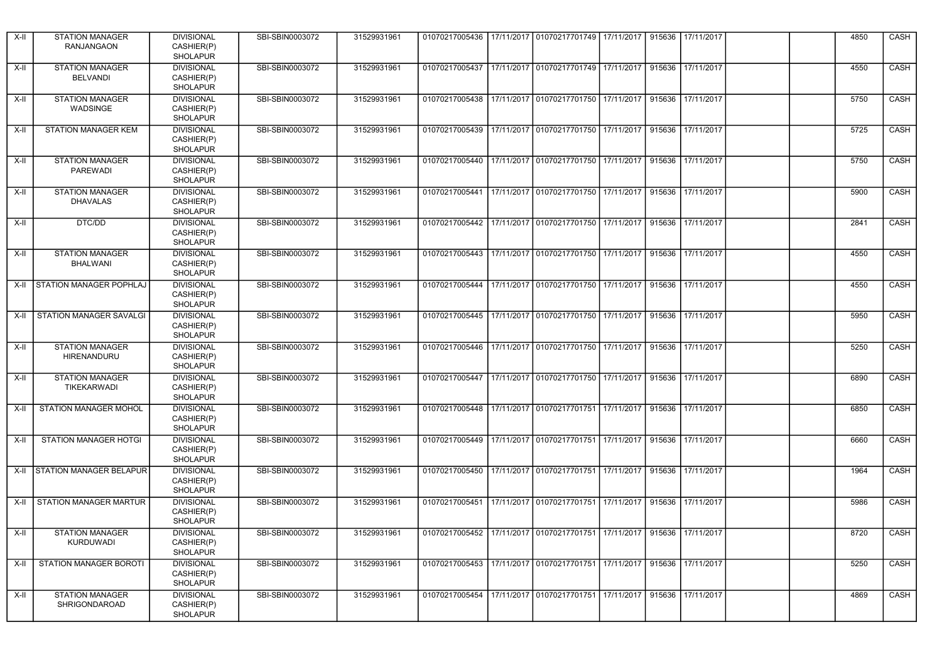| X-II  | <b>STATION MANAGER</b><br><b>RANJANGAON</b>  | <b>DIVISIONAL</b><br>CASHIER(P)<br><b>SHOLAPUR</b> | SBI-SBIN0003072 | 31529931961 |                                                                       | 01070217005436   17/11/2017   01070217701749   17/11/2017 |            |        | 915636 17/11/2017 |  | 4850 | CASH        |
|-------|----------------------------------------------|----------------------------------------------------|-----------------|-------------|-----------------------------------------------------------------------|-----------------------------------------------------------|------------|--------|-------------------|--|------|-------------|
| X-II  | <b>STATION MANAGER</b><br><b>BELVANDI</b>    | <b>DIVISIONAL</b><br>CASHIER(P)<br><b>SHOLAPUR</b> | SBI-SBIN0003072 | 31529931961 | 01070217005437                                                        | 17/11/2017 01070217701749 17/11/2017                      |            |        | 915636 17/11/2017 |  | 4550 | CASH        |
| X-II  | <b>STATION MANAGER</b><br>WADSINGE           | <b>DIVISIONAL</b><br>CASHIER(P)<br><b>SHOLAPUR</b> | SBI-SBIN0003072 | 31529931961 |                                                                       | 01070217005438   17/11/2017   01070217701750   17/11/2017 |            |        | 915636 17/11/2017 |  | 5750 | CASH        |
| X-II  | STATION MANAGER KEM                          | <b>DIVISIONAL</b><br>CASHIER(P)<br><b>SHOLAPUR</b> | SBI-SBIN0003072 | 31529931961 | 01070217005439   17/11/2017   01070217701750   17/11/2017             |                                                           |            |        | 915636 17/11/2017 |  | 5725 | CASH        |
| $X-H$ | <b>STATION MANAGER</b><br><b>PAREWADI</b>    | <b>DIVISIONAL</b><br>CASHIER(P)<br><b>SHOLAPUR</b> | SBI-SBIN0003072 | 31529931961 | 01070217005440                                                        | 17/11/2017   01070217701750   17/11/2017                  |            | 915636 | 17/11/2017        |  | 5750 | CASH        |
| X-II  | <b>STATION MANAGER</b><br><b>DHAVALAS</b>    | <b>DIVISIONAL</b><br>CASHIER(P)<br><b>SHOLAPUR</b> | SBI-SBIN0003072 | 31529931961 | 01070217005441   17/11/2017   01070217701750   17/11/2017             |                                                           |            |        | 915636 17/11/2017 |  | 5900 | CASH        |
| X-II  | DTC/DD                                       | <b>DIVISIONAL</b><br>CASHIER(P)<br><b>SHOLAPUR</b> | SBI-SBIN0003072 | 31529931961 | 01070217005442                                                        | 17/11/2017 01070217701750 17/11/2017                      |            |        | 915636 17/11/2017 |  | 2841 | CASH        |
| X-II  | <b>STATION MANAGER</b><br><b>BHALWANI</b>    | <b>DIVISIONAL</b><br>CASHIER(P)<br><b>SHOLAPUR</b> | SBI-SBIN0003072 | 31529931961 |                                                                       | 01070217005443 17/11/2017 01070217701750 17/11/2017       |            |        | 915636 17/11/2017 |  | 4550 | CASH        |
| X-II  | <b>STATION MANAGER POPHLAJ</b>               | <b>DIVISIONAL</b><br>CASHIER(P)<br><b>SHOLAPUR</b> | SBI-SBIN0003072 | 31529931961 | 01070217005444                                                        | 17/11/2017 01070217701750 17/11/2017                      |            |        | 915636 17/11/2017 |  | 4550 | CASH        |
| X-II  | <b>STATION MANAGER SAVALGI</b>               | <b>DIVISIONAL</b><br>CASHIER(P)<br><b>SHOLAPUR</b> | SBI-SBIN0003072 | 31529931961 | 01070217005445                                                        | 17/11/2017 01070217701750 17/11/2017                      |            | 915636 | 17/11/2017        |  | 5950 | CASH        |
| X-II  | <b>STATION MANAGER</b><br>HIRENANDURU        | <b>DIVISIONAL</b><br>CASHIER(P)<br><b>SHOLAPUR</b> | SBI-SBIN0003072 | 31529931961 |                                                                       | 01070217005446   17/11/2017   01070217701750   17/11/2017 |            |        | 915636 17/11/2017 |  | 5250 | CASH        |
| X-II  | <b>STATION MANAGER</b><br><b>TIKEKARWADI</b> | <b>DIVISIONAL</b><br>CASHIER(P)<br><b>SHOLAPUR</b> | SBI-SBIN0003072 | 31529931961 | 01070217005447 17/11/2017 01070217701750 17/11/2017                   |                                                           |            |        | 915636 17/11/2017 |  | 6890 | CASH        |
| X-II  | STATION MANAGER MOHOL                        | <b>DIVISIONAL</b><br>CASHIER(P)<br><b>SHOLAPUR</b> | SBI-SBIN0003072 | 31529931961 | 01070217005448                                                        | 17/11/2017 01070217701751                                 | 17/11/2017 | 915636 | 17/11/2017        |  | 6850 | <b>CASH</b> |
| X-II  | STATION MANAGER HOTGI                        | <b>DIVISIONAL</b><br>CASHIER(P)<br><b>SHOLAPUR</b> | SBI-SBIN0003072 | 31529931961 |                                                                       | 01070217005449   17/11/2017   01070217701751   17/11/2017 |            |        | 915636 17/11/2017 |  | 6660 | CASH        |
| X-II  | <b>STATION MANAGER BELAPUR</b>               | <b>DIVISIONAL</b><br>CASHIER(P)<br><b>SHOLAPUR</b> | SBI-SBIN0003072 | 31529931961 |                                                                       | 01070217005450 17/11/2017 01070217701751 17/11/2017       |            |        | 915636 17/11/2017 |  | 1964 | <b>CASH</b> |
| X-II  | <b>STATION MANAGER MARTUR</b>                | <b>DIVISIONAL</b><br>CASHIER(P)<br><b>SHOLAPUR</b> | SBI-SBIN0003072 | 31529931961 | 01070217005451                                                        | 17/11/2017 01070217701751 17/11/2017                      |            |        | 915636 17/11/2017 |  | 5986 | CASH        |
| $X-H$ | <b>STATION MANAGER</b><br>KURDUWADI          | <b>DIVISIONAL</b><br>CASHIER(P)<br>SHOLAPUR        | SBI-SBIN0003072 | 31529931961 | 01070217005452 17/11/2017 01070217701751 17/11/2017 915636 17/11/2017 |                                                           |            |        |                   |  | 8720 | CASH        |
| X-II  | STATION MANAGER BOROTI                       | <b>DIVISIONAL</b><br>CASHIER(P)<br><b>SHOLAPUR</b> | SBI-SBIN0003072 | 31529931961 | 01070217005453 17/11/2017 01070217701751 17/11/2017                   |                                                           |            |        | 915636 17/11/2017 |  | 5250 | CASH        |
| X-II  | <b>STATION MANAGER</b><br>SHRIGONDAROAD      | <b>DIVISIONAL</b><br>CASHIER(P)<br><b>SHOLAPUR</b> | SBI-SBIN0003072 | 31529931961 |                                                                       | 01070217005454 17/11/2017 01070217701751 17/11/2017       |            |        | 915636 17/11/2017 |  | 4869 | CASH        |